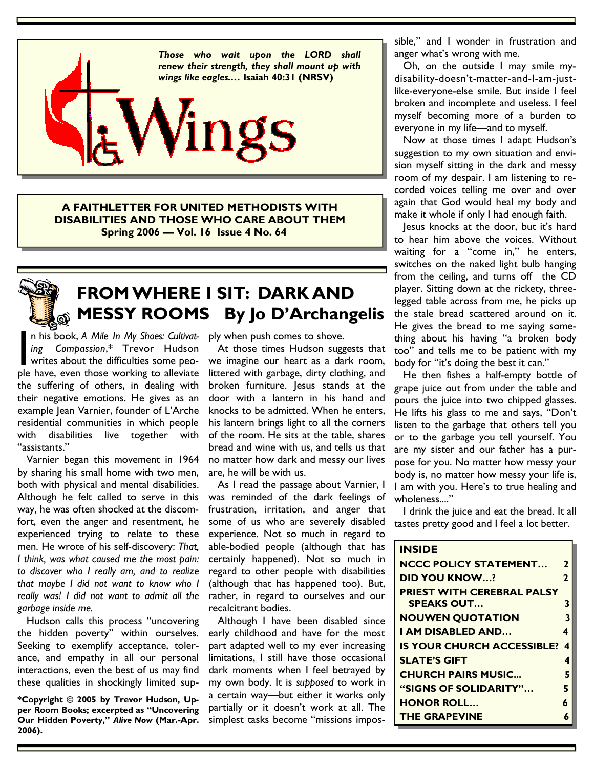

**A FAITHLETTER FOR UNITED METHODISTS WITH DISABILITIES AND THOSE WHO CARE ABOUT THEM Spring 2006 — Vol. 16 Issue 4 No. 64** 



### **FROM WHERE I SIT: DARK AND MESSY ROOMS By Jo D'Archangelis**

n his book, *A Mile In My Shoes: Cultivat-*<br> *ing* Compassion,\* Trevor Hudson *ing Compassion*,\* Trevor Hudson writes about the difficulties some people have, even those working to alleviate the suffering of others, in dealing with their negative emotions. He gives as an example Jean Varnier, founder of L'Arche residential communities in which people with disabilities live together with "assistants."

 Varnier began this movement in 1964 by sharing his small home with two men, both with physical and mental disabilities. Although he felt called to serve in this way, he was often shocked at the discomfort, even the anger and resentment, he experienced trying to relate to these men. He wrote of his self-discovery: *That, I think, was what caused me the most pain: to discover who I really am, and to realize that maybe I did not want to know who I really was! I did not want to admit all the garbage inside me.*

 Hudson calls this process "uncovering the hidden poverty" within ourselves. Seeking to exemplify acceptance, tolerance, and empathy in all our personal interactions, even the best of us may find these qualities in shockingly limited sup-

**\*Copyright © 2005 by Trevor Hudson, Upper Room Books; excerpted as "Uncovering Our Hidden Poverty,"** *Alive Now* **(Mar.-Apr. 2006).** 

ply when push comes to shove.

 At those times Hudson suggests that we imagine our heart as a dark room, littered with garbage, dirty clothing, and broken furniture. Jesus stands at the door with a lantern in his hand and knocks to be admitted. When he enters, his lantern brings light to all the corners of the room. He sits at the table, shares bread and wine with us, and tells us that no matter how dark and messy our lives are, he will be with us.

 As I read the passage about Varnier, I was reminded of the dark feelings of frustration, irritation, and anger that some of us who are severely disabled experience. Not so much in regard to able-bodied people (although that has certainly happened). Not so much in regard to other people with disabilities (although that has happened too). But, rather, in regard to ourselves and our recalcitrant bodies.

 Although I have been disabled since early childhood and have for the most part adapted well to my ever increasing limitations, I still have those occasional dark moments when I feel betrayed by my own body. It is *supposed* to work in a certain way—but either it works only partially or it doesn't work at all. The simplest tasks become "missions impossible," and I wonder in frustration and anger what's wrong with me.

 Oh, on the outside I may smile mydisability-doesn't-matter-and-I-am-justlike-everyone-else smile. But inside I feel broken and incomplete and useless. I feel myself becoming more of a burden to everyone in my life—and to myself.

 Now at those times I adapt Hudson's suggestion to my own situation and envision myself sitting in the dark and messy room of my despair. I am listening to recorded voices telling me over and over again that God would heal my body and make it whole if only I had enough faith.

 Jesus knocks at the door, but it's hard to hear him above the voices. Without waiting for a "come in," he enters, switches on the naked light bulb hanging from the ceiling, and turns off the CD player. Sitting down at the rickety, threelegged table across from me, he picks up the stale bread scattered around on it. He gives the bread to me saying something about his having "a broken body too" and tells me to be patient with my body for "it's doing the best it can."

 He then fishes a half-empty bottle of grape juice out from under the table and pours the juice into two chipped glasses. He lifts his glass to me and says, "Don't listen to the garbage that others tell you or to the garbage you tell yourself. You are my sister and our father has a purpose for you. No matter how messy your body is, no matter how messy your life is, I am with you. Here's to true healing and wholeness...."

 I drink the juice and eat the bread. It all tastes pretty good and I feel a lot better.

#### **INSIDE**

| <b>NCCC POLICY STATEMENT</b>                           | 2 |
|--------------------------------------------------------|---|
| <b>DID YOU KNOW?</b>                                   | 2 |
| <b>PRIEST WITH CEREBRAL PALSY</b><br><b>SPEAKS OUT</b> | 3 |
| <b>NOUWEN QUOTATION</b>                                | 3 |
| I AM DISABLED AND                                      |   |
| <b>IS YOUR CHURCH ACCESSIBLE?</b>                      | 4 |
| <b>SLATE'S GIFT</b>                                    |   |
| <b>CHURCH PAIRS MUSIC</b>                              | 5 |
| "SIGNS OF SOLIDARITY"                                  | 5 |
| <b>HONOR ROLL</b>                                      | 6 |
| <b>THE GRAPEVINE</b>                                   |   |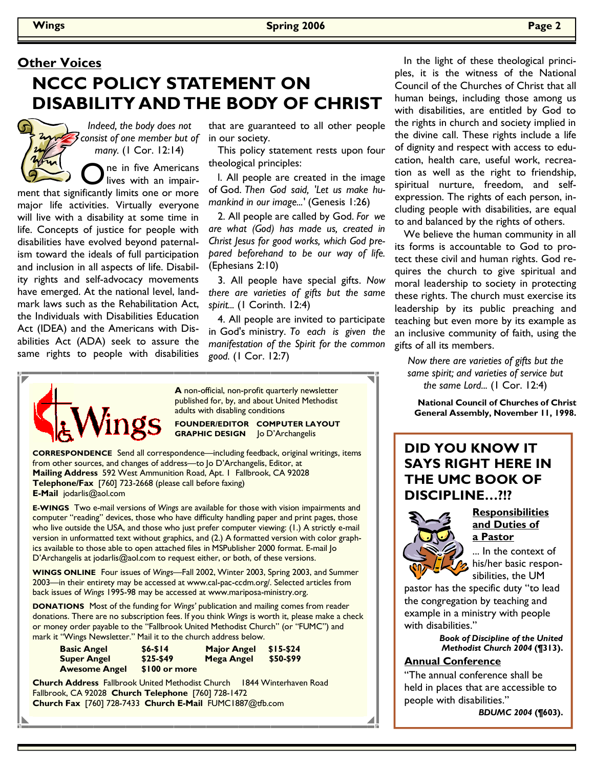# **Other Voices NCCC POLICY STATEMENT ON DISABILITY AND THE BODY OF CHRIST**

*Indeed, the body does not consist of one member but of many.* (1 Cor. 12:14)

**O** ne in five Americans ment that significantly limits one or more major life activities. Virtually everyone will live with a disability at some time in life. Concepts of justice for people with disabilities have evolved beyond paternalism toward the ideals of full participation and inclusion in all aspects of life. Disability rights and self-advocacy movements have emerged. At the national level, landmark laws such as the Rehabilitation Act, the Individuals with Disabilities Education Act (IDEA) and the Americans with Disabilities Act (ADA) seek to assure the same rights to people with disabilities

that are guaranteed to all other people in our society.

 This policy statement rests upon four theological principles:

 l. All people are created in the image of God. *Then God said, 'Let us make humankind in our image...'* (Genesis 1:26)

 2. All people are called by God. *For we are what (God) has made us, created in Christ Jesus for good works, which God prepared beforehand to be our way of life.* (Ephesians 2:10)

 3. All people have special gifts. *Now there are varieties of gifts but the same spirit...* (1 Corinth. 12:4)

 4. All people are invited to participate in God's ministry. *To each is given the manifestation of the Spirit for the common good.* (1 Cor. 12:7)



**A** non-official, non-profit quarterly newsletter published for, by, and about United Methodist adults with disabling conditions

**FOUNDER/EDITOR COMPUTER LAYOUT GRAPHIC DESIGN** Jo D'Archangelis

**CORRESPONDENCE** Send all correspondence—including feedback, original writings, items from other sources, and changes of address—to Jo D'Archangelis, Editor, at **Mailing Address** 592 West Ammunition Road, Apt. 1 Fallbrook, CA 92028 **Telephone/Fax** [760] 723-2668 (please call before faxing) **E-Mail** jodarlis@aol.com

**E-WINGS** Two e-mail versions of *Wings* are available for those with vision impairments and computer "reading" devices, those who have difficulty handling paper and print pages, those who live outside the USA, and those who just prefer computer viewing: (1.) A strictly e-mail version in unformatted text without graphics, and (2.) A formatted version with color graphics available to those able to open attached files in MSPublisher 2000 format. E-mail Jo D'Archangelis at jodarlis@aol.com to request either, or both, of these versions.

**WINGS ONLINE** Four issues of *Wings—*Fall 2002, Winter 2003, Spring 2003, and Summer 2003—in their entirety may be accessed at www.cal-pac-ccdm.org/. Selected articles from back issues of *Wings* 1995-98 may be accessed at www.mariposa-ministry.org.

**DONATIONS** Most of the funding for *Wings'* publication and mailing comes from reader donations. There are no subscription fees. If you think *Wings* is worth it, please make a check or money order payable to the "Fallbrook United Methodist Church" (or "FUMC") and mark it "Wings Newsletter." Mail it to the church address below.

| <b>Basic Angel</b>   | $$6 - $14$    | <b>Major Angel</b> | $$15-$24$ |
|----------------------|---------------|--------------------|-----------|
| <b>Super Angel</b>   | $$25-$49$     | Mega Angel         | \$50-\$99 |
| <b>Awesome Angel</b> | \$100 or more |                    |           |

**Church Address** Fallbrook United Methodist Church 1844 Winterhaven Road Fallbrook, CA 92028 **Church Telephone** [760] 728-1472 **Church Fax** [760] 728-7433 **Church E-Mail** FUMC1887@tfb.com

 In the light of these theological principles, it is the witness of the National Council of the Churches of Christ that all human beings, including those among us with disabilities, are entitled by God to the rights in church and society implied in the divine call. These rights include a life of dignity and respect with access to education, health care, useful work, recreation as well as the right to friendship, spiritual nurture, freedom, and selfexpression. The rights of each person, including people with disabilities, are equal to and balanced by the rights of others.

 We believe the human community in all its forms is accountable to God to protect these civil and human rights. God requires the church to give spiritual and moral leadership to society in protecting these rights. The church must exercise its leadership by its public preaching and teaching but even more by its example as an inclusive community of faith, using the gifts of all its members.

*Now there are varieties of gifts but the same spirit; and varieties of service but the same Lord...* (1 Cor. 12:4)

**National Council of Churches of Christ General Assembly, November 11, 1998.** 

#### **DID YOU KNOW IT SAYS RIGHT HERE IN THE UMC BOOK OF DISCIPLINE…?!?**



**a Pastor** ... In the context of his/her basic responsibilities, the UM

pastor has the specific duty "to lead the congregation by teaching and example in a ministry with people with disabilities."

> *Book of Discipline of the United Methodist Church 2004* **(¶313).**

#### **Annual Conference**

"The annual conference shall be held in places that are accessible to people with disabilities."

*BDUMC 2004* **(¶603).**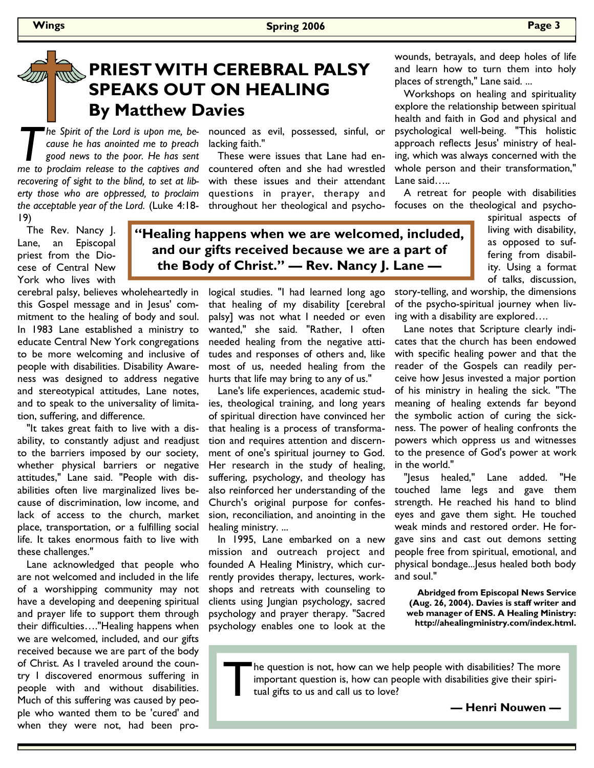## **PRIEST WITH CEREBRAL PALSY SPEAKS OUT ON HEALING By Matthew Davies**

**The Spirit of the Lord is upon me, be-<br>
cause he has anointed me to preach<br>
good news to the poor. He has sent<br>
me to proclaim release to the captives and** *cause he has anointed me to preach good news to the poor. He has sent me to proclaim release to the captives and recovering of sight to the blind, to set at liberty those who are oppressed, to proclaim the acceptable year of the Lord.* (Luke 4:18- 19)

 The Rev. Nancy J. Lane, an Episcopal priest from the Diocese of Central New York who lives with

cerebral palsy, believes wholeheartedly in this Gospel message and in Jesus' commitment to the healing of body and soul. In 1983 Lane established a ministry to educate Central New York congregations to be more welcoming and inclusive of people with disabilities. Disability Awareness was designed to address negative and stereotypical attitudes, Lane notes, and to speak to the universality of limitation, suffering, and difference.

 "It takes great faith to live with a disability, to constantly adjust and readjust to the barriers imposed by our society, whether physical barriers or negative attitudes," Lane said. "People with disabilities often live marginalized lives because of discrimination, low income, and lack of access to the church, market place, transportation, or a fulfilling social life. It takes enormous faith to live with these challenges."

 Lane acknowledged that people who are not welcomed and included in the life of a worshipping community may not have a developing and deepening spiritual and prayer life to support them through their difficulties…."Healing happens when we are welcomed, included, and our gifts received because we are part of the body of Christ. As I traveled around the country I discovered enormous suffering in people with and without disabilities. Much of this suffering was caused by people who wanted them to be 'cured' and when they were not, had been pronounced as evil, possessed, sinful, or lacking faith."

 These were issues that Lane had encountered often and she had wrestled with these issues and their attendant questions in prayer, therapy and throughout her theological and psycho-

**"Healing happens when we are welcomed, included, and our gifts received because we are a part of the Body of Christ." — Rev. Nancy J. Lane —** 

> logical studies. "I had learned long ago that healing of my disability [cerebral palsy] was not what I needed or even wanted," she said. "Rather, I often needed healing from the negative attitudes and responses of others and, like most of us, needed healing from the hurts that life may bring to any of us."

> Lane's life experiences, academic studies, theological training, and long years of spiritual direction have convinced her that healing is a process of transformation and requires attention and discernment of one's spiritual journey to God. Her research in the study of healing, suffering, psychology, and theology has also reinforced her understanding of the Church's original purpose for confession, reconciliation, and anointing in the healing ministry. ...

> In 1995, Lane embarked on a new mission and outreach project and founded A Healing Ministry, which currently provides therapy, lectures, workshops and retreats with counseling to clients using Jungian psychology, sacred psychology and prayer therapy. "Sacred psychology enables one to look at the

wounds, betrayals, and deep holes of life and learn how to turn them into holy places of strength," Lane said. ...

 Workshops on healing and spirituality explore the relationship between spiritual health and faith in God and physical and psychological well-being. "This holistic approach reflects Jesus' ministry of healing, which was always concerned with the whole person and their transformation," Lane said…..

 A retreat for people with disabilities focuses on the theological and psycho-

> spiritual aspects of living with disability, as opposed to suffering from disability. Using a format of talks, discussion,

story-telling, and worship, the dimensions of the psycho-spiritual journey when living with a disability are explored….

 Lane notes that Scripture clearly indicates that the church has been endowed with specific healing power and that the reader of the Gospels can readily perceive how Jesus invested a major portion of his ministry in healing the sick. "The meaning of healing extends far beyond the symbolic action of curing the sickness. The power of healing confronts the powers which oppress us and witnesses to the presence of God's power at work in the world."

 "Jesus healed," Lane added. "He touched lame legs and gave them strength. He reached his hand to blind eyes and gave them sight. He touched weak minds and restored order. He forgave sins and cast out demons setting people free from spiritual, emotional, and physical bondage...Jesus healed both body and soul."

**Abridged from Episcopal News Service (Aug. 26, 2004). Davies is staff writer and web manager of ENS. A Healing Ministry: http://ahealingministry.com/index.html.**

Ine question is not, how can we help people with disabilities? The more important question is, how can people with disabilities give their spiritual gifts to us and call us to love?

**— Henri Nouwen —**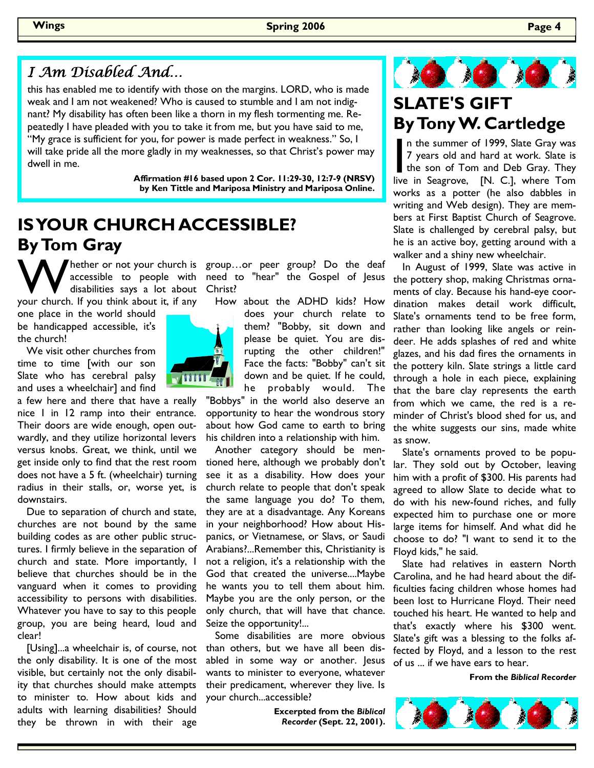#### I Am Disabled And…

this has enabled me to identify with those on the margins. LORD, who is made weak and I am not weakened? Who is caused to stumble and I am not indignant? My disability has often been like a thorn in my flesh tormenting me. Repeatedly I have pleaded with you to take it from me, but you have said to me, "My grace is sufficient for you, for power is made perfect in weakness." So, I will take pride all the more gladly in my weaknesses, so that Christ's power may dwell in me.

> **Affirmation #16 based upon 2 Cor. 11:29-30, 12:7-9 (NRSV) by Ken Tittle and Mariposa Ministry and Mariposa Online.**

# **IS YOUR CHURCH ACCESSIBLE? By Tom Gray**

W hether or not your church is<br>
disabilities says a lot about<br>
your church. If you think about it, if any disabilities says a lot about

one place in the world should be handicapped accessible, it's the church!

 We visit other churches from time to time [with our son Slate who has cerebral palsy and uses a wheelchair] and find

a few here and there that have a really nice 1 in 12 ramp into their entrance. Their doors are wide enough, open outwardly, and they utilize horizontal levers versus knobs. Great, we think, until we get inside only to find that the rest room does not have a 5 ft. (wheelchair) turning radius in their stalls, or, worse yet, is downstairs.

 Due to separation of church and state, churches are not bound by the same building codes as are other public structures. I firmly believe in the separation of church and state. More importantly, I believe that churches should be in the vanguard when it comes to providing accessibility to persons with disabilities. Whatever you have to say to this people group, you are being heard, loud and clear!

 [Using]...a wheelchair is, of course, not the only disability. It is one of the most visible, but certainly not the only disability that churches should make attempts to minister to. How about kids and adults with learning disabilities? Should they be thrown in with their age

71 î î î

accessible to people with need to "hear" the Gospel of Jesus hether or not your church is group...or peer group? Do the deaf Christ?

> How about the ADHD kids? How does your church relate to them? "Bobby, sit down and please be quiet. You are disrupting the other children!" Face the facts: "Bobby" can't sit down and be quiet. If he could, he probably would. The

"Bobbys" in the world also deserve an opportunity to hear the wondrous story about how God came to earth to bring his children into a relationship with him.

 Another category should be mentioned here, although we probably don't see it as a disability. How does your church relate to people that don't speak the same language you do? To them, they are at a disadvantage. Any Koreans in your neighborhood? How about Hispanics, or Vietnamese, or Slavs, or Saudi Arabians?...Remember this, Christianity is not a religion, it's a relationship with the God that created the universe....Maybe he wants you to tell them about him. Maybe you are the only person, or the only church, that will have that chance. Seize the opportunity!...

 Some disabilities are more obvious than others, but we have all been disabled in some way or another. Jesus wants to minister to everyone, whatever their predicament, wherever they live. Is your church...accessible?

> **Excerpted from the** *Biblical Recorder* **(Sept. 22, 2001).**



# **SLATE'S GIFT By Tony W. Cartledge**

n the summer of 1999, Slate Gray was 7 years old and hard at work. Slate is the son of Tom and Deb Gray. They live in Seagrove, [N. C.], where Tom works as a potter (he also dabbles in writing and Web design). They are members at First Baptist Church of Seagrove. Slate is challenged by cerebral palsy, but he is an active boy, getting around with a walker and a shiny new wheelchair.

 In August of 1999, Slate was active in the pottery shop, making Christmas ornaments of clay. Because his hand-eye coordination makes detail work difficult, Slate's ornaments tend to be free form, rather than looking like angels or reindeer. He adds splashes of red and white glazes, and his dad fires the ornaments in the pottery kiln. Slate strings a little card through a hole in each piece, explaining that the bare clay represents the earth from which we came, the red is a reminder of Christ's blood shed for us, and the white suggests our sins, made white as snow.

 Slate's ornaments proved to be popular. They sold out by October, leaving him with a profit of \$300. His parents had agreed to allow Slate to decide what to do with his new-found riches, and fully expected him to purchase one or more large items for himself. And what did he choose to do? "I want to send it to the Floyd kids," he said.

 Slate had relatives in eastern North Carolina, and he had heard about the difficulties facing children whose homes had been lost to Hurricane Floyd. Their need touched his heart. He wanted to help and that's exactly where his \$300 went. Slate's gift was a blessing to the folks affected by Floyd, and a lesson to the rest of us ... if we have ears to hear.

**From the** *Biblical Recorder*

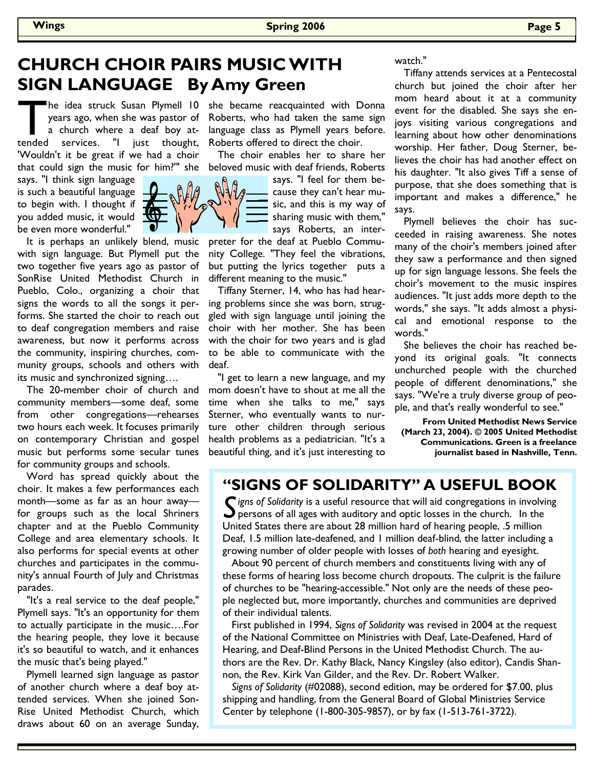### **CHURCH CHOIR PAIRS MUSIC WITH SIGN LANGUAGE By Amy Green**

The idea struck Susan Plymell 10 she became reacquainted with Donna<br>years ago, when she was pastor of Roberts, who had taken the same sign<br>a church where a deaf boy at- language class as Plymell years before.<br>tended servic years ago, when she was pastor of a church where a deaf boy attended services. "I just thought, 'Wouldn't it be great if we had a choir that could sign the music for him?'" she

says. "I think sign language is such a beautiful language to begin with. I thought if you added music, it would be even more wonderful."

 It is perhaps an unlikely blend, music with sign language. But Plymell put the two together five years ago as pastor of SonRise United Methodist Church in Pueblo, Colo., organizing a choir that signs the words to all the songs it performs. She started the choir to reach out to deaf congregation members and raise awareness, but now it performs across the community, inspiring churches, community groups, schools and others with its music and synchronized signing….

 The 20-member choir of church and community members—some deaf, some from other congregations—rehearses two hours each week. It focuses primarily on contemporary Christian and gospel music but performs some secular tunes for community groups and schools.

 Word has spread quickly about the choir. It makes a few performances each month—some as far as an hour away for groups such as the local Shriners chapter and at the Pueblo Community College and area elementary schools. It also performs for special events at other churches and participates in the community's annual Fourth of July and Christmas parades.

 "It's a real service to the deaf people," Plymell says. "It's an opportunity for them to actually participate in the music….For the hearing people, they love it because it's so beautiful to watch, and it enhances the music that's being played."

 Plymell learned sign language as pastor of another church where a deaf boy attended services. When she joined Son-Rise United Methodist Church, which draws about 60 on an average Sunday,

Roberts, who had taken the same sign language class as Plymell years before. Roberts offered to direct the choir.

 The choir enables her to share her beloved music with deaf friends, Roberts

> says. "I feel for them because they can't hear music, and this is my way of sharing music with them," says Roberts, an inter-

preter for the deaf at Pueblo Community College. "They feel the vibrations, but putting the lyrics together puts a different meaning to the music."

 Tiffany Sterner, 14, who has had hearing problems since she was born, struggled with sign language until joining the choir with her mother. She has been with the choir for two years and is glad to be able to communicate with the deaf.

 "I get to learn a new language, and my mom doesn't have to shout at me all the time when she talks to me," says Sterner, who eventually wants to nurture other children through serious health problems as a pediatrician. "It's a beautiful thing, and it's just interesting to

watch."

 Tiffany attends services at a Pentecostal church but joined the choir after her mom heard about it at a community event for the disabled. She says she enjoys visiting various congregations and learning about how other denominations worship. Her father, Doug Sterner, believes the choir has had another effect on his daughter. "It also gives Tiff a sense of purpose, that she does something that is important and makes a difference," he says.

 Plymell believes the choir has succeeded in raising awareness. She notes many of the choir's members joined after they saw a performance and then signed up for sign language lessons. She feels the choir's movement to the music inspires audiences. "It just adds more depth to the words," she says. "It adds almost a physical and emotional response to the words."

 She believes the choir has reached beyond its original goals. "It connects unchurched people with the churched people of different denominations," she says. "We're a truly diverse group of people, and that's really wonderful to see."

**From United Methodist News Service (March 23, 2004). © 2005 United Methodist Communications. Green is a freelance journalist based in Nashville, Tenn.** 

#### **"SIGNS OF SOLIDARITY" A USEFUL BOOK**

**C** igns of Solidarity is a useful resource that will aid congregations in involving  $\bigcup$  persons of all ages with auditory and optic losses in the church. In the United States there are about 28 million hard of hearing people, .5 million Deaf, 1.5 million late-deafened, and 1 million deaf-blind, the latter including a growing number of older people with losses of *both* hearing and eyesight.

 About 90 percent of church members and constituents living with any of these forms of hearing loss become church dropouts. The culprit is the failure of churches to be "hearing-accessible." Not only are the needs of these people neglected but, more importantly, churches and communities are deprived of their individual talents.

 First published in 1994, *Signs of Solidarity* was revised in 2004 at the request of the National Committee on Ministries with Deaf, Late-Deafened, Hard of Hearing, and Deaf-Blind Persons in the United Methodist Church. The authors are the Rev. Dr. Kathy Black, Nancy Kingsley (also editor), Candis Shannon, the Rev. Kirk Van Gilder, and the Rev. Dr. Robert Walker.

*Signs of Solidarity* (#02088), second edition, may be ordered for \$7.00, plus shipping and handling, from the General Board of Global Ministries Service Center by telephone (1-800-305-9857), or by fax (1-513-761-3722).